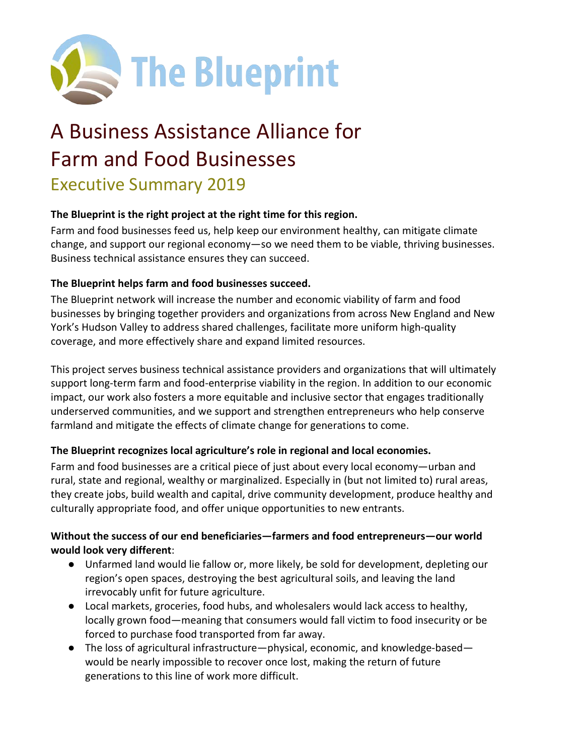

# A Business Assistance Alliance for Farm and Food Businesses

# Executive Summary 2019

#### **The Blueprint is the right project at the right time for this region.**

Farm and food businesses feed us, help keep our environment healthy, can mitigate climate change, and support our regional economy—so we need them to be viable, thriving businesses. Business technical assistance ensures they can succeed.

#### **The Blueprint helps farm and food businesses succeed.**

The Blueprint network will increase the number and economic viability of farm and food businesses by bringing together providers and organizations from across New England and New York's Hudson Valley to address shared challenges, facilitate more uniform high-quality coverage, and more effectively share and expand limited resources.

This project serves business technical assistance providers and organizations that will ultimately support long-term farm and food-enterprise viability in the region. In addition to our economic impact, our work also fosters a more equitable and inclusive sector that engages traditionally underserved communities, and we support and strengthen entrepreneurs who help conserve farmland and mitigate the effects of climate change for generations to come.

#### **The Blueprint recognizes local agriculture's role in regional and local economies.**

Farm and food businesses are a critical piece of just about every local economy—urban and rural, state and regional, wealthy or marginalized. Especially in (but not limited to) rural areas, they create jobs, build wealth and capital, drive community development, produce healthy and culturally appropriate food, and offer unique opportunities to new entrants.

#### **Without the success of our end beneficiaries—farmers and food entrepreneurs—our world would look very different**:

- Unfarmed land would lie fallow or, more likely, be sold for development, depleting our region's open spaces, destroying the best agricultural soils, and leaving the land irrevocably unfit for future agriculture.
- Local markets, groceries, food hubs, and wholesalers would lack access to healthy, locally grown food—meaning that consumers would fall victim to food insecurity or be forced to purchase food transported from far away.
- The loss of agricultural infrastructure—physical, economic, and knowledge-based would be nearly impossible to recover once lost, making the return of future generations to this line of work more difficult.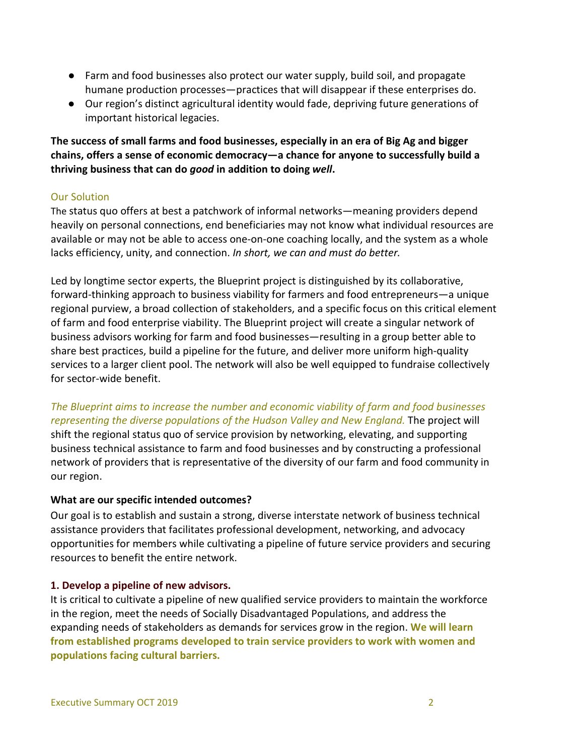- Farm and food businesses also protect our water supply, build soil, and propagate humane production processes—practices that will disappear if these enterprises do.
- Our region's distinct agricultural identity would fade, depriving future generations of important historical legacies.

**The success of small farms and food businesses, especially in an era of Big Ag and bigger chains, offers a sense of economic democracy—a chance for anyone to successfully build a thriving business that can do** *good* **in addition to doing** *well***.**

#### Our Solution

The status quo offers at best a patchwork of informal networks—meaning providers depend heavily on personal connections, end beneficiaries may not know what individual resources are available or may not be able to access one-on-one coaching locally, and the system as a whole lacks efficiency, unity, and connection. *In short, we can and must do better.*

Led by longtime sector experts, the Blueprint project is distinguished by its collaborative, forward-thinking approach to business viability for farmers and food entrepreneurs—a unique regional purview, a broad collection of stakeholders, and a specific focus on this critical element of farm and food enterprise viability. The Blueprint project will create a singular network of business advisors working for farm and food businesses—resulting in a group better able to share best practices, build a pipeline for the future, and deliver more uniform high-quality services to a larger client pool. The network will also be well equipped to fundraise collectively for sector-wide benefit.

#### *The Blueprint aims to increase the number and economic viability of farm and food businesses* representing the diverse populations of the Hudson Valley and New England. The project will

shift the regional status quo of service provision by networking, elevating, and supporting business technical assistance to farm and food businesses and by constructing a professional network of providers that is representative of the diversity of our farm and food community in our region.

#### **What are our specific intended outcomes?**

Our goal is to establish and sustain a strong, diverse interstate network of business technical assistance providers that facilitates professional development, networking, and advocacy opportunities for members while cultivating a pipeline of future service providers and securing resources to benefit the entire network.

#### **1. Develop a pipeline of new advisors.**

It is critical to cultivate a pipeline of new qualified service providers to maintain the workforce in the region, meet the needs of Socially Disadvantaged Populations, and address the expanding needs of stakeholders as demands for services grow in the region. **We will learn from established programs developed to train service providers to work with women and populations facing cultural barriers.**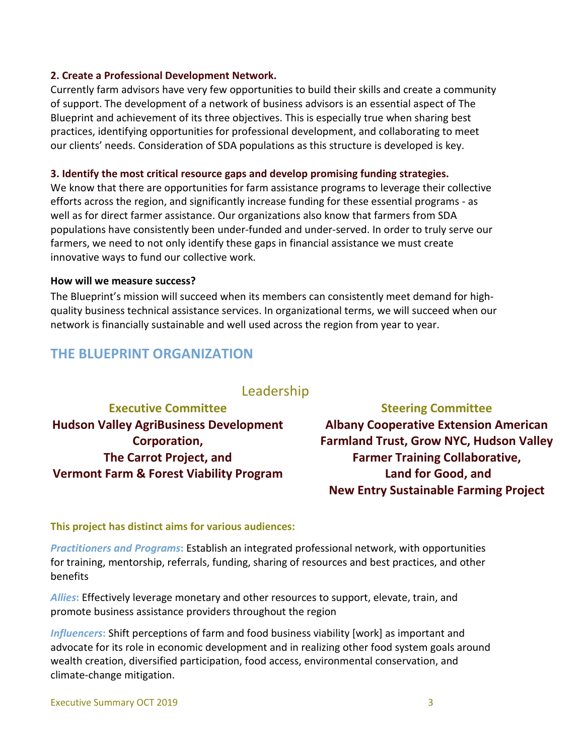#### **2. Create a Professional Development Network.**

Currently farm advisors have very few opportunities to build their skills and create a community of support. The development of a network of business advisors is an essential aspect of The Blueprint and achievement of its three objectives. This is especially true when sharing best practices, identifying opportunities for professional development, and collaborating to meet our clients' needs. Consideration of SDA populations as this structure is developed is key.

#### **3. Identify the most critical resource gaps and develop promising funding strategies.**

We know that there are opportunities for farm assistance programs to leverage their collective efforts across the region, and significantly increase funding for these essential programs - as well as for direct farmer assistance. Our organizations also know that farmers from SDA populations have consistently been under-funded and under-served. In order to truly serve our farmers, we need to not only identify these gaps in financial assistance we must create innovative ways to fund our collective work.

#### **How will we measure success?**

The Blueprint's mission will succeed when its members can consistently meet demand for highquality business technical assistance services. In organizational terms, we will succeed when our network is financially sustainable and well used across the region from year to year.

## **THE BLUEPRINT ORGANIZATION**

### Leadership

**Executive Committee Hudson Valley AgriBusiness Development Corporation, The Carrot Project, and Vermont Farm & Forest Viability Program**

**Steering Committee Albany Cooperative Extension American Farmland Trust, Grow NYC, Hudson Valley Farmer Training Collaborative, Land for Good, and New Entry Sustainable Farming Project**

#### **This project has distinct aims for various audiences:**

*Practitioners and Programs***:** Establish an integrated professional network, with opportunities for training, mentorship, referrals, funding, sharing of resources and best practices, and other benefits

*Allies***:** Effectively leverage monetary and other resources to support, elevate, train, and promote business assistance providers throughout the region

*Influencers***:** Shift perceptions of farm and food business viability [work] as important and advocate for its role in economic development and in realizing other food system goals around wealth creation, diversified participation, food access, environmental conservation, and climate-change mitigation.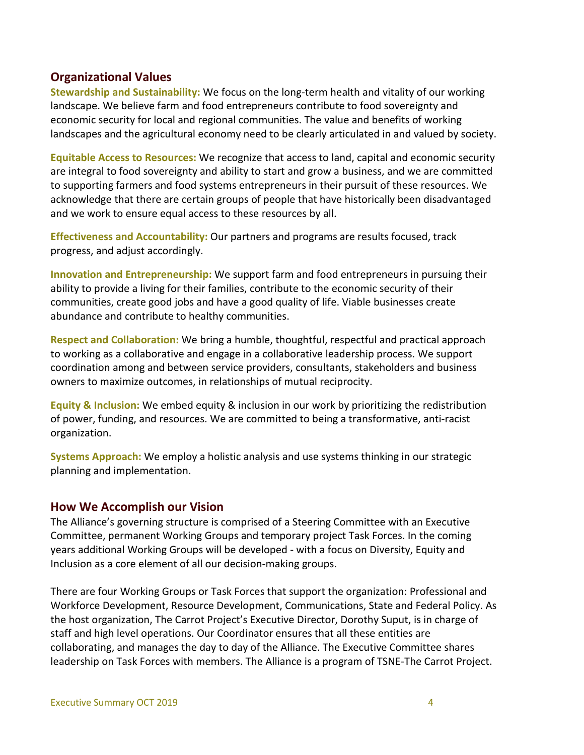#### **Organizational Values**

**Stewardship and Sustainability:** We focus on the long-term health and vitality of our working landscape. We believe farm and food entrepreneurs contribute to food sovereignty and economic security for local and regional communities. The value and benefits of working landscapes and the agricultural economy need to be clearly articulated in and valued by society.

**Equitable Access to Resources:** We recognize that access to land, capital and economic security are integral to food sovereignty and ability to start and grow a business, and we are committed to supporting farmers and food systems entrepreneurs in their pursuit of these resources. We acknowledge that there are certain groups of people that have historically been disadvantaged and we work to ensure equal access to these resources by all.

**Effectiveness and Accountability:** Our partners and programs are results focused, track progress, and adjust accordingly.

**Innovation and Entrepreneurship:** We support farm and food entrepreneurs in pursuing their ability to provide a living for their families, contribute to the economic security of their communities, create good jobs and have a good quality of life. Viable businesses create abundance and contribute to healthy communities.

**Respect and Collaboration:** We bring a humble, thoughtful, respectful and practical approach to working as a collaborative and engage in a collaborative leadership process. We support coordination among and between service providers, consultants, stakeholders and business owners to maximize outcomes, in relationships of mutual reciprocity.

**Equity & Inclusion:** We embed equity & inclusion in our work by prioritizing the redistribution of power, funding, and resources. We are committed to being a transformative, anti-racist organization.

**Systems Approach:** We employ a holistic analysis and use systems thinking in our strategic planning and implementation.

#### **How We Accomplish our Vision**

The Alliance's governing structure is comprised of a Steering Committee with an Executive Committee, permanent Working Groups and temporary project Task Forces. In the coming years additional Working Groups will be developed - with a focus on Diversity, Equity and Inclusion as a core element of all our decision-making groups.

There are four Working Groups or Task Forces that support the organization: Professional and Workforce Development, Resource Development, Communications, State and Federal Policy. As the host organization, The Carrot Project's Executive Director, Dorothy Suput, is in charge of staff and high level operations. Our Coordinator ensures that all these entities are collaborating, and manages the day to day of the Alliance. The Executive Committee shares leadership on Task Forces with members. The Alliance is a program of TSNE-The Carrot Project.